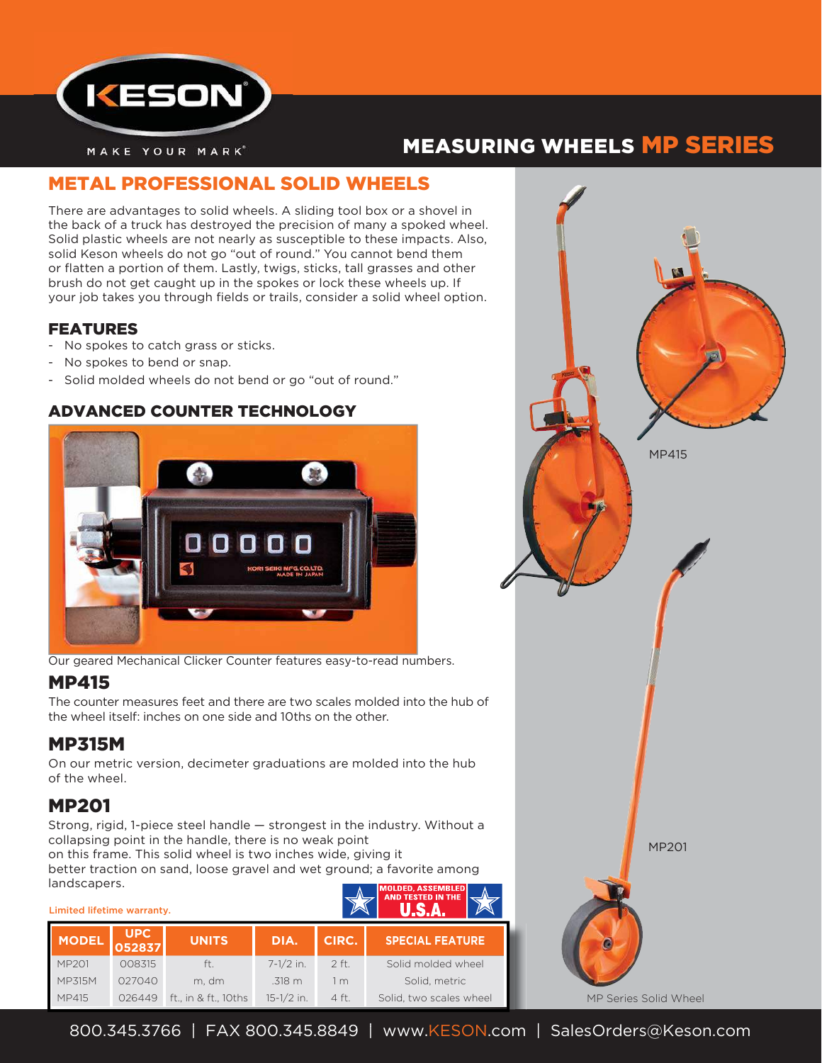

# MEASURING WHEELS MP SERIES

# METAL PROFESSIONAL SOLID WHEELS

There are advantages to solid wheels. A sliding tool box or a shovel in the back of a truck has destroyed the precision of many a spoked wheel. Solid plastic wheels are not nearly as susceptible to these impacts. Also, solid Keson wheels do not go "out of round." You cannot bend them or flatten a portion of them. Lastly, twigs, sticks, tall grasses and other brush do not get caught up in the spokes or lock these wheels up. If your job takes you through fields or trails, consider a solid wheel option.

#### FEATURES

- No spokes to catch grass or sticks.
- No spokes to bend or snap.
- Solid molded wheels do not bend or go "out of round."

#### ADVANCED COUNTER TECHNOLOGY



Our geared Mechanical Clicker Counter features easy-to-read numbers.

### MP415

The counter measures feet and there are two scales molded into the hub of the wheel itself: inches on one side and 10ths on the other.

## MP315M

On our metric version, decimeter graduations are molded into the hub of the wheel.

# MP201

Strong, rigid, 1-piece steel handle — strongest in the industry. Without a collapsing point in the handle, there is no weak point on this frame. This solid wheel is two inches wide, giving it better traction on sand, loose gravel and wet ground; a favorite among landscapers

| 1911999990191<br>Limited lifetime warranty. |                      |                      | IMOLDED. ASSEMBLEDI<br><b>AND TESTED IN THE</b> |                |                         |
|---------------------------------------------|----------------------|----------------------|-------------------------------------------------|----------------|-------------------------|
| <b>MODEL</b>                                | <b>UPC</b><br>052837 | <b>UNITS</b>         | DIA.                                            | CIRC.          | <b>SPECIAL FEATURE</b>  |
| MP201                                       | 008315               | ft.                  | $7 - 1/2$ in.                                   | $2$ ft.        | Solid molded wheel      |
| MP315M                                      | 027040               | m. dm                | .318 m                                          | 1 <sub>m</sub> | Solid, metric           |
| MP415                                       | 026449               | ft., in & ft., 10ths | $15-1/2$ in.                                    | 4 ft.          | Solid, two scales wheel |

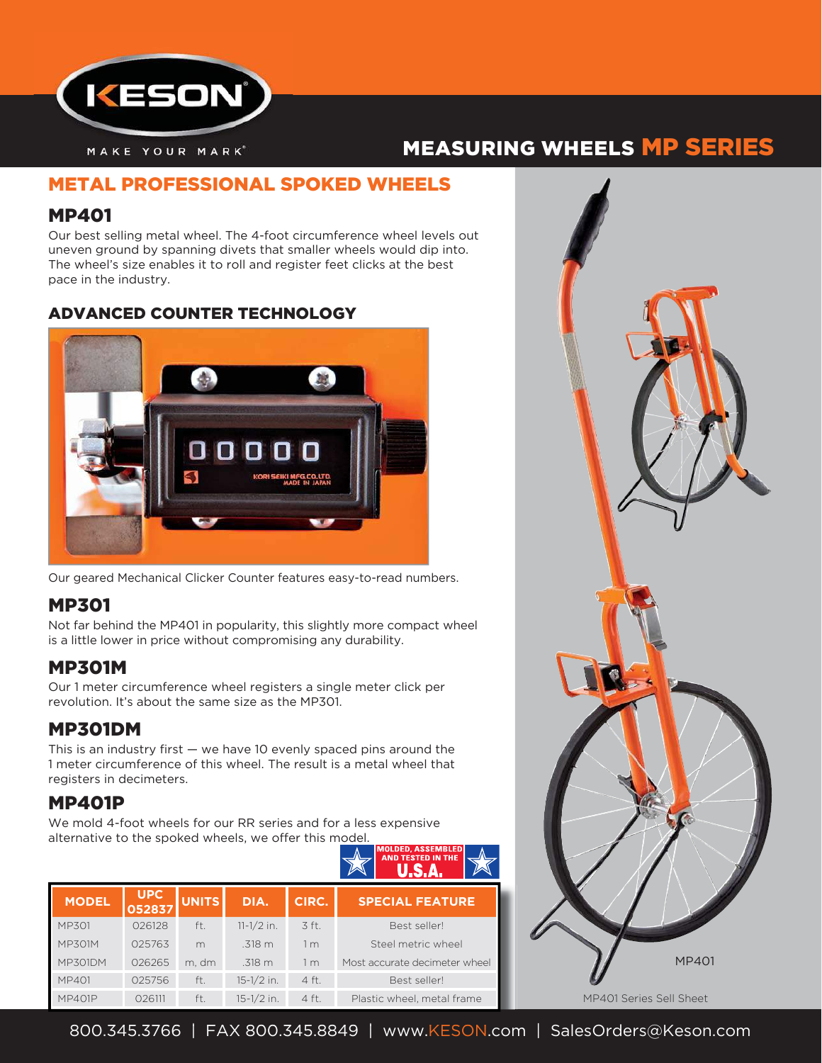

# MEASURING WHEELS MP SERIES

## METAL PROFESSIONAL SPOKED WHEELS

## MP401

Our best selling metal wheel. The 4-foot circumference wheel levels out uneven ground by spanning divets that smaller wheels would dip into. The wheel's size enables it to roll and register feet clicks at the best pace in the industry.

### ADVANCED COUNTER TECHNOLOGY



Our geared Mechanical Clicker Counter features easy-to-read numbers.

# MP301

Not far behind the MP401 in popularity, this slightly more compact wheel is a little lower in price without compromising any durability.

## MP301M

Our 1 meter circumference wheel registers a single meter click per revolution. It's about the same size as the MP301.

# MP301DM

This is an industry first  $-$  we have 10 evenly spaced pins around the 1 meter circumference of this wheel. The result is a metal wheel that registers in decimeters.

# MP401P

We mold 4-foot wheels for our RR series and for a less expensive alternative to the spoked wheels, we offer this model.



| <b>MODEL</b>   | <b>UPC</b><br>052837 | <b>UNITS</b> | DIA.           | CIRC.              | <b>SPECIAL FEATURE</b>        |
|----------------|----------------------|--------------|----------------|--------------------|-------------------------------|
| <b>MP301</b>   | 026128               | ft.          | $11 - 1/2$ in. | $\overline{3}$ ft. | Best seller!                  |
| MP301M         | 025763               | m            | $.318 \; m$    | 1 m                | Steel metric wheel            |
| <b>MP301DM</b> | 026265               | m. dm        | .318 m         | 1 m                | Most accurate decimeter wheel |
| MP401          | 025756               | ft.          | $15-1/2$ in.   | $4$ ft.            | Best seller!                  |
| <b>MP401P</b>  | 026111               | ft.          | $15 - 1/2$ in. | 4 ft.              | Plastic wheel, metal frame    |



**1** 800.345.3766 | FAX 800.345.8849 | www.KESON.com | SalesOrders@Keson.com 800 345 3766 | FAX 800 345 8849 | www KESON com